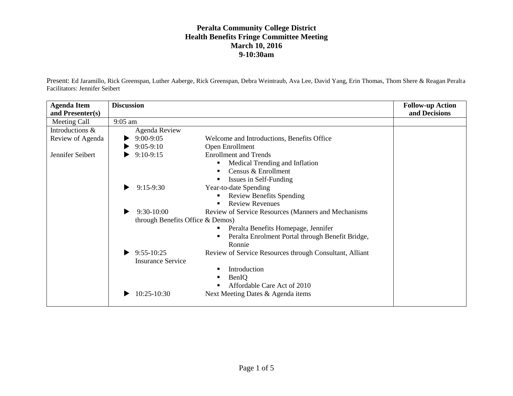Present: Ed Jaramillo, Rick Greenspan, Luther Aaberge, Rick Greenspan, Debra Weintraub, Ava Lee, David Yang, Erin Thomas, Thom Shere & Reagan Peralta Facilitators: Jennifer Seibert

| <b>Agenda Item</b><br>and Presenter(s) | <b>Discussion</b>                |                                                         | <b>Follow-up Action</b><br>and Decisions |
|----------------------------------------|----------------------------------|---------------------------------------------------------|------------------------------------------|
| Meeting Call                           | $9:05$ am                        |                                                         |                                          |
| Introductions &                        | Agenda Review                    |                                                         |                                          |
| Review of Agenda                       | $9:00-9:05$                      | Welcome and Introductions, Benefits Office              |                                          |
|                                        | $9:05-9:10$                      | Open Enrollment                                         |                                          |
| Jennifer Seibert                       | $9:10-9:15$                      | <b>Enrollment and Trends</b>                            |                                          |
|                                        |                                  | Medical Trending and Inflation<br>п                     |                                          |
|                                        |                                  | Census & Enrollment<br>п                                |                                          |
|                                        |                                  | Issues in Self-Funding<br>п                             |                                          |
|                                        | $9:15-9:30$                      | Year-to-date Spending                                   |                                          |
|                                        |                                  | <b>Review Benefits Spending</b><br>Е                    |                                          |
|                                        |                                  | <b>Review Revenues</b><br>п                             |                                          |
|                                        | $9:30-10:00$                     | Review of Service Resources (Manners and Mechanisms     |                                          |
|                                        | through Benefits Office & Demos) |                                                         |                                          |
|                                        |                                  | Peralta Benefits Homepage, Jennifer<br>٠                |                                          |
|                                        |                                  | Peralta Enrolment Portal through Benefit Bridge,<br>п   |                                          |
|                                        |                                  | Ronnie                                                  |                                          |
|                                        | $9:55-10:25$                     | Review of Service Resources through Consultant, Alliant |                                          |
|                                        | <b>Insurance Service</b>         |                                                         |                                          |
|                                        |                                  | Introduction<br>п                                       |                                          |
|                                        |                                  | BenIQ<br>п                                              |                                          |
|                                        |                                  | Affordable Care Act of 2010                             |                                          |
|                                        | $10:25-10:30$                    | Next Meeting Dates & Agenda items                       |                                          |
|                                        |                                  |                                                         |                                          |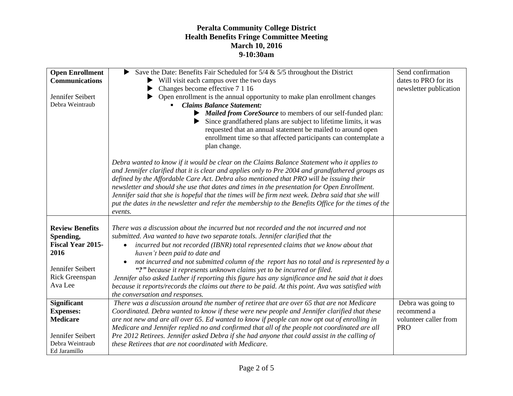| <b>Open Enrollment</b>              | Save the Date: Benefits Fair Scheduled for $5/4 \& 5/5$ throughout the District<br>▶                                                                                                            | Send confirmation      |
|-------------------------------------|-------------------------------------------------------------------------------------------------------------------------------------------------------------------------------------------------|------------------------|
| <b>Communications</b>               | $\triangleright$ Will visit each campus over the two days                                                                                                                                       | dates to PRO for its   |
|                                     | Changes become effective 7 1 16                                                                                                                                                                 | newsletter publication |
| Jennifer Seibert                    | Open enrollment is the annual opportunity to make plan enrollment changes                                                                                                                       |                        |
| Debra Weintraub                     | <b>Claims Balance Statement:</b>                                                                                                                                                                |                        |
|                                     | Mailed from CoreSource to members of our self-funded plan:                                                                                                                                      |                        |
|                                     | Since grandfathered plans are subject to lifetime limits, it was                                                                                                                                |                        |
|                                     | requested that an annual statement be mailed to around open                                                                                                                                     |                        |
|                                     | enrollment time so that affected participants can contemplate a                                                                                                                                 |                        |
|                                     | plan change.                                                                                                                                                                                    |                        |
|                                     |                                                                                                                                                                                                 |                        |
|                                     | Debra wanted to know if it would be clear on the Claims Balance Statement who it applies to<br>and Jennifer clarified that it is clear and applies only to Pre 2004 and grandfathered groups as |                        |
|                                     | defined by the Affordable Care Act. Debra also mentioned that PRO will be issuing their                                                                                                         |                        |
|                                     | newsletter and should she use that dates and times in the presentation for Open Enrollment.                                                                                                     |                        |
|                                     | Jennifer said that she is hopeful that the times will be firm next week. Debra said that she will                                                                                               |                        |
|                                     | put the dates in the newsletter and refer the membership to the Benefits Office for the times of the                                                                                            |                        |
|                                     | events.                                                                                                                                                                                         |                        |
|                                     |                                                                                                                                                                                                 |                        |
| <b>Review Benefits</b>              | There was a discussion about the incurred but not recorded and the not incurred and not                                                                                                         |                        |
| Spending,                           | submitted. Ava wanted to have two separate totals. Jennifer clarified that the                                                                                                                  |                        |
| <b>Fiscal Year 2015-</b>            | incurred but not recorded (IBNR) total represented claims that we know about that<br>$\bullet$                                                                                                  |                        |
| 2016                                | haven't been paid to date and                                                                                                                                                                   |                        |
|                                     |                                                                                                                                                                                                 |                        |
| Jennifer Seibert                    | not incurred and not submitted column of the report has no total and is represented by a<br>"?" because it represents unknown claims yet to be incurred or filed.                               |                        |
| <b>Rick Greenspan</b>               |                                                                                                                                                                                                 |                        |
| Ava Lee                             | Jennifer also asked Luther if reporting this figure has any significance and he said that it does                                                                                               |                        |
|                                     | because it reports/records the claims out there to be paid. At this point. Ava was satisfied with<br>the conversation and responses.                                                            |                        |
| <b>Significant</b>                  | There was a discussion around the number of retiree that are over 65 that are not Medicare                                                                                                      | Debra was going to     |
| <b>Expenses:</b>                    | Coordinated. Debra wanted to know if these were new people and Jennifer clarified that these                                                                                                    | recommend a            |
| <b>Medicare</b>                     | are not new and are all over 65. Ed wanted to know if people can now opt out of enrolling in                                                                                                    | volunteer caller from  |
|                                     |                                                                                                                                                                                                 | <b>PRO</b>             |
|                                     | Medicare and Jennifer replied no and confirmed that all of the people not coordinated are all                                                                                                   |                        |
| Jennifer Seibert<br>Debra Weintraub | Pre 2012 Retirees. Jennifer asked Debra if she had anyone that could assist in the calling of                                                                                                   |                        |
| Ed Jaramillo                        | these Retirees that are not coordinated with Medicare.                                                                                                                                          |                        |
|                                     |                                                                                                                                                                                                 |                        |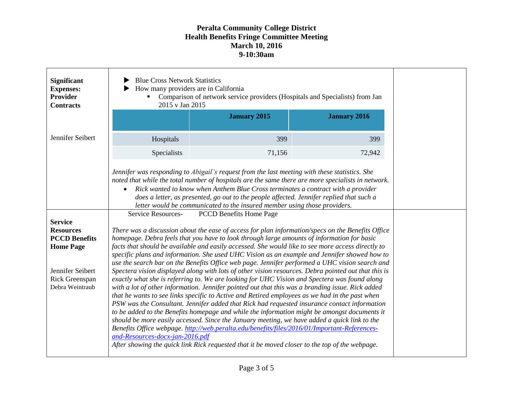| <b>Significant</b><br><b>Expenses:</b><br>Provider<br><b>Contracts</b>                                                | <b>Blue Cross Network Statistics</b><br>How many providers are in California<br>Comparison of network service providers (Hospitals and Specialists) from Jan<br>2015 v Jan 2015                                                                                                                                                                                                                                                                                                                                                                                                                                                                                                                                                                                                                                                                                                                                                                                                                                                                                                                                                                                                                                                                                                                                                                                                                                                                          |                                |                     |  |  |
|-----------------------------------------------------------------------------------------------------------------------|----------------------------------------------------------------------------------------------------------------------------------------------------------------------------------------------------------------------------------------------------------------------------------------------------------------------------------------------------------------------------------------------------------------------------------------------------------------------------------------------------------------------------------------------------------------------------------------------------------------------------------------------------------------------------------------------------------------------------------------------------------------------------------------------------------------------------------------------------------------------------------------------------------------------------------------------------------------------------------------------------------------------------------------------------------------------------------------------------------------------------------------------------------------------------------------------------------------------------------------------------------------------------------------------------------------------------------------------------------------------------------------------------------------------------------------------------------|--------------------------------|---------------------|--|--|
|                                                                                                                       |                                                                                                                                                                                                                                                                                                                                                                                                                                                                                                                                                                                                                                                                                                                                                                                                                                                                                                                                                                                                                                                                                                                                                                                                                                                                                                                                                                                                                                                          | <b>January 2015</b>            | <b>January 2016</b> |  |  |
| Jennifer Seibert                                                                                                      | Hospitals                                                                                                                                                                                                                                                                                                                                                                                                                                                                                                                                                                                                                                                                                                                                                                                                                                                                                                                                                                                                                                                                                                                                                                                                                                                                                                                                                                                                                                                | 399                            | 399                 |  |  |
|                                                                                                                       | Specialists                                                                                                                                                                                                                                                                                                                                                                                                                                                                                                                                                                                                                                                                                                                                                                                                                                                                                                                                                                                                                                                                                                                                                                                                                                                                                                                                                                                                                                              | 71,156                         | 72,942              |  |  |
|                                                                                                                       | Jennifer was responding to Abigail's request from the last meeting with these statistics. She<br>noted that while the total number of hospitals are the same there are more specialists in network.<br>Rick wanted to know when Anthem Blue Cross terminates a contract with a provider<br>$\bullet$<br>does a letter, as presented, go out to the people affected. Jennifer replied that such a<br>letter would be communicated to the insured member using those providers.                                                                                                                                                                                                                                                                                                                                                                                                                                                                                                                                                                                                                                                                                                                                                                                                                                                                                                                                                                            |                                |                     |  |  |
| <b>Service</b>                                                                                                        | Service Resources-                                                                                                                                                                                                                                                                                                                                                                                                                                                                                                                                                                                                                                                                                                                                                                                                                                                                                                                                                                                                                                                                                                                                                                                                                                                                                                                                                                                                                                       | <b>PCCD Benefits Home Page</b> |                     |  |  |
| <b>Resources</b><br><b>PCCD Benefits</b><br><b>Home Page</b><br>Jennifer Seibert<br>Rick Greenspan<br>Debra Weintraub | There was a discussion about the ease of access for plan information/specs on the Benefits Office<br>homepage. Debra feels that you have to look through large amounts of information for basic<br>facts that should be available and easily accessed. She would like to see more access directly to<br>specific plans and information. She used UHC Vision as an example and Jennifer showed how to<br>use the search bar on the Benefits Office web page. Jennifer performed a UHC vision search and<br>Spectera vision displayed along with lots of other vision resources. Debra pointed out that this is<br>exactly what she is referring to. We are looking for UHC Vision and Spectera was found along<br>with a lot of other information. Jennifer pointed out that this was a branding issue. Rick added<br>that he wants to see links specific to Active and Retired employees as we had in the past when<br>PSW was the Consultant. Jennifer added that Rick had requested insurance contact information<br>to be added to the Benefits homepage and while the information might be amongst documents it<br>should be more easily accessed. Since the January meeting, we have added a quick link to the<br>Benefits Office webpage. http://web.peralta.edu/benefits/files/2016/01/Important-References-<br>and-Resources-docx-jan-2016.pdf<br>After showing the quick link Rick requested that it be moved closer to the top of the webpage. |                                |                     |  |  |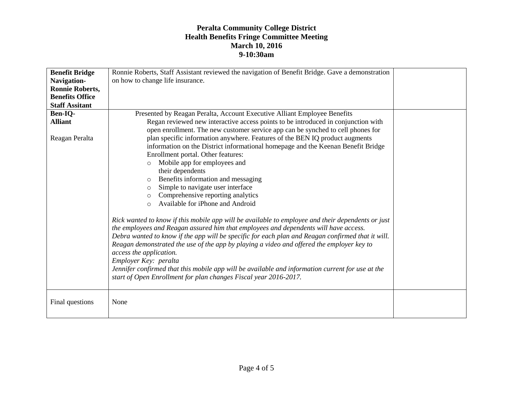| <b>Benefit Bridge</b>  | Ronnie Roberts, Staff Assistant reviewed the navigation of Benefit Bridge. Gave a demonstration                                                                                                                                                                                                                                                                                                                                                                                                                                                                                                                         |  |  |
|------------------------|-------------------------------------------------------------------------------------------------------------------------------------------------------------------------------------------------------------------------------------------------------------------------------------------------------------------------------------------------------------------------------------------------------------------------------------------------------------------------------------------------------------------------------------------------------------------------------------------------------------------------|--|--|
| Navigation-            | on how to change life insurance.                                                                                                                                                                                                                                                                                                                                                                                                                                                                                                                                                                                        |  |  |
| <b>Ronnie Roberts,</b> |                                                                                                                                                                                                                                                                                                                                                                                                                                                                                                                                                                                                                         |  |  |
| <b>Benefits Office</b> |                                                                                                                                                                                                                                                                                                                                                                                                                                                                                                                                                                                                                         |  |  |
| <b>Staff Assitant</b>  |                                                                                                                                                                                                                                                                                                                                                                                                                                                                                                                                                                                                                         |  |  |
| Ben-IQ-                | Presented by Reagan Peralta, Account Executive Alliant Employee Benefits                                                                                                                                                                                                                                                                                                                                                                                                                                                                                                                                                |  |  |
| <b>Alliant</b>         | Regan reviewed new interactive access points to be introduced in conjunction with                                                                                                                                                                                                                                                                                                                                                                                                                                                                                                                                       |  |  |
|                        | open enrollment. The new customer service app can be synched to cell phones for                                                                                                                                                                                                                                                                                                                                                                                                                                                                                                                                         |  |  |
| Reagan Peralta         | plan specific information anywhere. Features of the BEN IQ product augments                                                                                                                                                                                                                                                                                                                                                                                                                                                                                                                                             |  |  |
|                        | information on the District informational homepage and the Keenan Benefit Bridge                                                                                                                                                                                                                                                                                                                                                                                                                                                                                                                                        |  |  |
|                        | Enrollment portal. Other features:                                                                                                                                                                                                                                                                                                                                                                                                                                                                                                                                                                                      |  |  |
|                        | Mobile app for employees and<br>$\circ$                                                                                                                                                                                                                                                                                                                                                                                                                                                                                                                                                                                 |  |  |
|                        | their dependents                                                                                                                                                                                                                                                                                                                                                                                                                                                                                                                                                                                                        |  |  |
|                        | Benefits information and messaging<br>$\circ$                                                                                                                                                                                                                                                                                                                                                                                                                                                                                                                                                                           |  |  |
|                        | Simple to navigate user interface<br>$\circ$                                                                                                                                                                                                                                                                                                                                                                                                                                                                                                                                                                            |  |  |
|                        | Comprehensive reporting analytics<br>$\circ$                                                                                                                                                                                                                                                                                                                                                                                                                                                                                                                                                                            |  |  |
|                        | Available for iPhone and Android<br>$\circ$                                                                                                                                                                                                                                                                                                                                                                                                                                                                                                                                                                             |  |  |
|                        | Rick wanted to know if this mobile app will be available to employee and their dependents or just<br>the employees and Reagan assured him that employees and dependents will have access.<br>Debra wanted to know if the app will be specific for each plan and Reagan confirmed that it will.<br>Reagan demonstrated the use of the app by playing a video and offered the employer key to<br>access the application.<br>Employer Key: peralta<br>Jennifer confirmed that this mobile app will be available and information current for use at the<br>start of Open Enrollment for plan changes Fiscal year 2016-2017. |  |  |
| Final questions        | None                                                                                                                                                                                                                                                                                                                                                                                                                                                                                                                                                                                                                    |  |  |